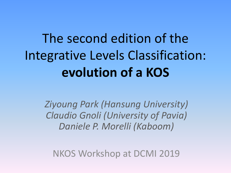# The second edition of the Integrative Levels Classification: **evolution of a KOS**

*Ziyoung Park (Hansung University) Claudio Gnoli (University of Pavia) Daniele P. Morelli (Kaboom)*

NKOS Workshop at DCMI 2019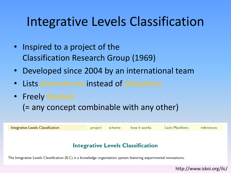#### Integrative Levels Classification

- Inspired to a project of the Classification Research Group (1969)
- Developed since 2004 by an international team
- Lists phenomena instead of disciplines
- Freely faceted (= any concept combinable with any other)

| Integrative Levels Classification                                                                                  | project | scheme | how it works | León Manifesto | references |  |  |
|--------------------------------------------------------------------------------------------------------------------|---------|--------|--------------|----------------|------------|--|--|
|                                                                                                                    |         |        |              |                |            |  |  |
|                                                                                                                    |         |        |              |                |            |  |  |
| Integrative Levels Classification                                                                                  |         |        |              |                |            |  |  |
| The Integrative Levels Classification (ILC) is a knowledge organization system featuring experimental innovations. |         |        |              |                |            |  |  |

http://www.iskoi.org/ilc/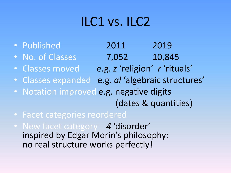## ILC1 vs. ILC2

- Published 2011 2019
- No. of Classes 7,052 10,845
- Classes moved e.g. *z* 'religion' *r* 'rituals'
- Classes expanded e.g. *al* 'algebraic structures'
- Notation improved e.g. negative digits (dates & quantities)
- Facet categories reordered
- New facet category *4* 'disorder' inspired by Edgar Morin's philosophy: no real structure works perfectly!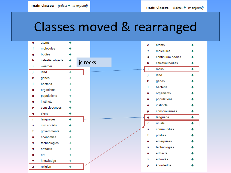#### Classes moved & rearranged

| е  | atoms             | ÷ |          |  | е            | atoms            |   |
|----|-------------------|---|----------|--|--------------|------------------|---|
| f  | molecules         | ÷ |          |  | f            | molecules        |   |
| g  | bodies            | ÷ |          |  |              | continuum bodies |   |
| h  | celestial objects | ÷ | jc rocks |  | 9            |                  |   |
| i. | weather           | ÷ |          |  | h            | celestial bodies | ÷ |
| j  | land              | ÷ |          |  | $\mathbf{i}$ | rocks            | ÷ |
| k  | genes             | ÷ |          |  | j            | land             | 4 |
| г  | bacteria          | ÷ |          |  | k            | genes            |   |
|    | organisms         | ÷ |          |  | п            | bacteria         |   |
| m  |                   |   |          |  | m            | organisms        |   |
| n  | populations       | ÷ |          |  | n            | populations      |   |
| 0  | instincts         | ÷ |          |  | $\bf{0}$     | instincts        |   |
| p  | consciousness     | ÷ |          |  |              |                  |   |
| q  | signs             | ÷ |          |  | p            | consciousness    | ÷ |
| r  | languages         | ÷ |          |  | q            | language         | ÷ |
| s  | civil society     | ÷ |          |  | r            | rituals          | ÷ |
| t  | governments       | ÷ |          |  | s            | communities      | ÷ |
| u  | economies         | ÷ |          |  | t            | polities         |   |
| ٧  | technologies      | ÷ |          |  | u            | enterprises      |   |
| ₩  | artifacts         | ÷ |          |  | ٧            | technologies     |   |
|    |                   |   |          |  | w            | artifacts        |   |
| ×  | art               | ÷ |          |  | x            | artworks         |   |
| У  | knowledge         | ÷ |          |  |              |                  |   |
| z  | religion          | 4 |          |  | У            | knowledge        |   |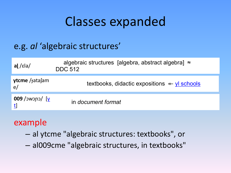#### Classes expanded

#### e.g. *al* 'algebraic structures'

| al /ɛla/                                  | algebraic structures [algebra, abstract algebra] $\approx$<br><b>DDC 512</b> |
|-------------------------------------------|------------------------------------------------------------------------------|
| <b>ytcme</b> / $\frac{1}{1}$ atasam<br>e/ | textbooks, didactic expositions $\leftarrow$ yl schools                      |
| 009 /ɔwɔɲɔ/ $[y]$                         | in document format                                                           |

#### example

- al ytcme "algebraic structures: textbooks", or
- al009cme "algebraic structures, in textbooks"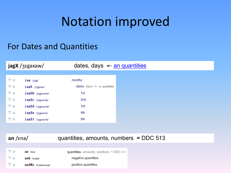### Notation improved

#### For Dates and Quantities

| $j$ agX / $j$ $k$ gaxaw/ |                                 | dates, days $\leftarrow$ an quantities |  |
|--------------------------|---------------------------------|----------------------------------------|--|
|                          |                                 |                                        |  |
| ا ⊘                      | $j$ ag / $7$ $E$ ga/            | months                                 |  |
| $\triangledown$ ρ        | $j$ agX / $j$ $\epsilon$ gaxaw/ | dates, days « an quantities            |  |
| $\triangledown$ ρ        | jagXb /38gaxawba/               | 1st                                    |  |
| ا ⊘                      | jagXc /38gaxawfa/               | 2nd                                    |  |
| ہ ⊽                      | jagXd /38gaxawda/               | 3rd                                    |  |
| ہ ⊽                      | jagXe /38gaxawe/                | 4th                                    |  |
| $\triangledown$ ρ        | jagXf /38gaxawfa/               | 5th                                    |  |

#### an /εna/ **quantities, amounts, numbers ≈ DDC 513**

| ہ ⊽    | $an$ / $\epsilon$ na/  | quantities, amounts, numbers $\approx$ DDC 513 |
|--------|------------------------|------------------------------------------------|
| - ⊽- o | $anb$ / $enaba$        | negative quantities                            |
| ہ ⊽    | $and \#y$ /enadawawja/ | positive quantities                            |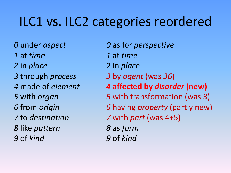# ILC1 vs. ILC2 categories reordered

- at *time 1* at *time*
- 
- 
- 
- 
- 
- 
- like *pattern 8* as *form* of *kind 9* of *kind*
- under *aspect 0* as for *perspective*
	-
- in *place 2* in *place*
- through *process 3* by *agent* (was *36*)
- made of *element 4* **affected by** *disorder* **(new)**
- with *organ 5* with transformation (was *3*)
- from *origin 6* having *property* (partly new)
- to *destination 7* with *part* (was 4+5)
	-
	-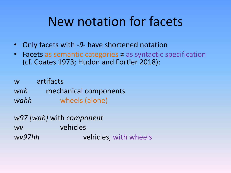### New notation for facets

- Only facets with -*9-* have shortened notation
- Facets as semantic categories ≠ as syntactic specification (cf. Coates 1973; Hudon and Fortier 2018):

*w* artifacts *wah* mechanical components *wahh* wheels (alone)

| w97 [wah] with component |                       |  |  |
|--------------------------|-----------------------|--|--|
| WV                       | vehicles              |  |  |
| wv97hh                   | vehicles, with wheels |  |  |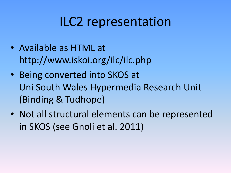### ILC2 representation

- Available as HTML at http://www.iskoi.org/ilc/ilc.php
- Being converted into SKOS at Uni South Wales Hypermedia Research Unit (Binding & Tudhope)
- Not all structural elements can be represented in SKOS (see Gnoli et al. 2011)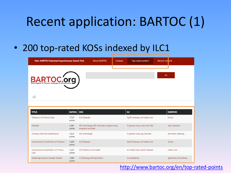## Recent application: BARTOC (1)

#### • 200 top-rated KOSs indexed by ILC1

| New: BARTOC Federated Asynchronous Search Tool | <b>About BARTOC</b> | Contact | Top-rated content | Recent content |  |
|------------------------------------------------|---------------------|---------|-------------------|----------------|--|
| BARTOC.org                                     |                     |         |                   | GO             |  |
|                                                |                     |         |                   |                |  |

| <b>TITLE</b>                                    | RATING DDC      |                                                               | <b>ILC</b>                       | <b>EUROVOC</b>          |
|-------------------------------------------------|-----------------|---------------------------------------------------------------|----------------------------------|-------------------------|
| Thesaurus of Clinical Signs                     | 7.702<br>points | 616 Diseases                                                  | mg30: diseases, sh: health care  | illness                 |
| Wikidata                                        | 6,284<br>points | 001 Knowledge, 005 Computer programming,<br>programs and data | V: general class, wtws: the Web  | data collection         |
| Universal Decimal Classification                | 5,610<br>points | 001 Knowledge                                                 | V: general class, sql: libraries | document indexing       |
| International Classification of Diseases        | 5,608<br>points | 616 Diseases                                                  | mq30: diseases, sh: health care  | illness                 |
| International Classification of Primary<br>Care | 4,164<br>points | 610 Medicine and health                                       | sh: health care, mg30; diseases  | health care             |
| Global Agricultural Concept Scheme              | 3,988<br>points | 570 Biology, 630 Agriculture                                  | vj: subsistence                  | agronomy, life sciences |

#### <http://www.bartoc.org/en/top-rated-points>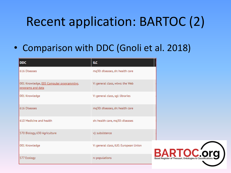# Recent application: BARTOC (2)

#### • Comparison with DDC (Gnoli et al. 2018)

| <b>DDC</b>                                                    | ILC.                                  |                              |
|---------------------------------------------------------------|---------------------------------------|------------------------------|
| 616 Diseases                                                  | mq30: diseases, sh: health care       |                              |
| 001 Knowledge, 005 Computer programming,<br>programs and data | V: general class, wtws: the Web       |                              |
| 001 Knowledge                                                 | V: general class, sgl: libraries      |                              |
| 616 Diseases                                                  | mq30: diseases, sh: health care       |                              |
| 610 Medicine and health                                       | sh: health care, mq30: diseases       |                              |
| 570 Biology, 630 Agriculture                                  | vj: subsistence                       |                              |
| 001 Knowledge                                                 | V: general class, tUE: European Union |                              |
| 577 Ecology                                                   | n: populations                        | <b>Basel Register of The</b> |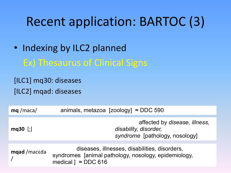# Recent application: BARTOC (3)

#### • Indexing by ILC2 planned Ex) Thesaurus of Clinical Signs

[ILC1] mq30: diseases [ILC2] mqad: diseases

| $mq$ /maca/  | animals, metazoa [zoology] $\approx$ DDC 590                                                                                    |
|--------------|---------------------------------------------------------------------------------------------------------------------------------|
| mq30 $[:]$   | affected by disease, illness,<br>disability, disorder,<br>syndrome [pathology, nosology]                                        |
| mqad /maceda | diseases, illnesses, disabilities, disorders,<br>syndromes [animal pathology, nosology, epidemiology,<br>medical $\sim$ DDC 616 |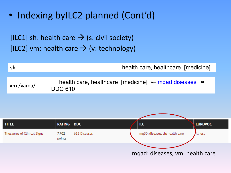• Indexing byILC2 planned (Cont'd)

[ILC1] sh: health care  $\rightarrow$  (s: civil society) [ILC2] vm: health care  $\rightarrow$  (v: technology)



mqad: diseases, vm: health care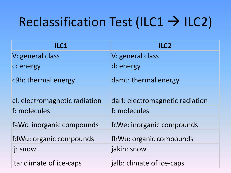# Reclassification Test (ILC1  $\rightarrow$  ILC2)

| ILC1                          | ILC2                            |
|-------------------------------|---------------------------------|
| V: general class              | V: general class                |
| c: energy                     | d: energy                       |
| c9h: thermal energy           | damt: thermal energy            |
| cl: electromagnetic radiation | darl: electromagnetic radiation |
| f: molecules                  | f: molecules                    |
| faWc: inorganic compounds     | fcWe: inorganic compounds       |
| fdWu: organic compounds       | fhWu: organic compounds         |
| ij: snow                      | jakin: snow                     |
| ita: climate of ice-caps      | jalb: climate of ice-caps       |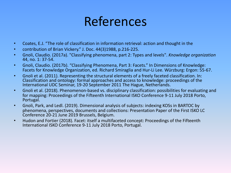#### References

- Coates, E.J. "The role of classification in information retrieval: action and thought in the
- contribution of Brian Vickery." J. Doc. 44(3)1988, p.216-225.
- Gnoli, Claudio. (2017a). "Classifying phenomena, part 2: Types and levels". *Knowledge organization* 44, no. 1: 37-54.
- Gnoli, Claudio. (2017b). "Classifying Phenomena, Part 3: Facets." In Dimensions of Knowledge: Facets for Knowledge Organization, ed. Richard Smiraglia and Hur-Li Lee. Würzburg: Ergon: 55-67.
- Gnoli et al. (2011). Representing the structural elements of a freely faceted classification. In: Classification and ontology: formal approaches and access to knowledge: proceedings of the International UDC Seminar, 19-20 September 2011 The Hague, Netherlands.
- Gnoli et al. (2018). Phenomenon-based vs. disciplinary classification: possibilities for evaluating and for mapping: Proceedings of the Fifteenth International ISKO Conference 9-11 July 2018 Porto, Portugal.
- Gnoli, Park, and Ledl. (2019). Dimensional analysis of subjects: indexing KOSs in BARTOC by phenomena, perspectives, documents and collections: Presentation Paper of the First ISKO LC Conference 20-21 June 2019 Brussels, Belgium.
- Hudon and Fortier (2018). Facet: itself a multifaceted concept: Proceedings of the Fifteenth International ISKO Conference 9-11 July 2018 Porto, Portugal.